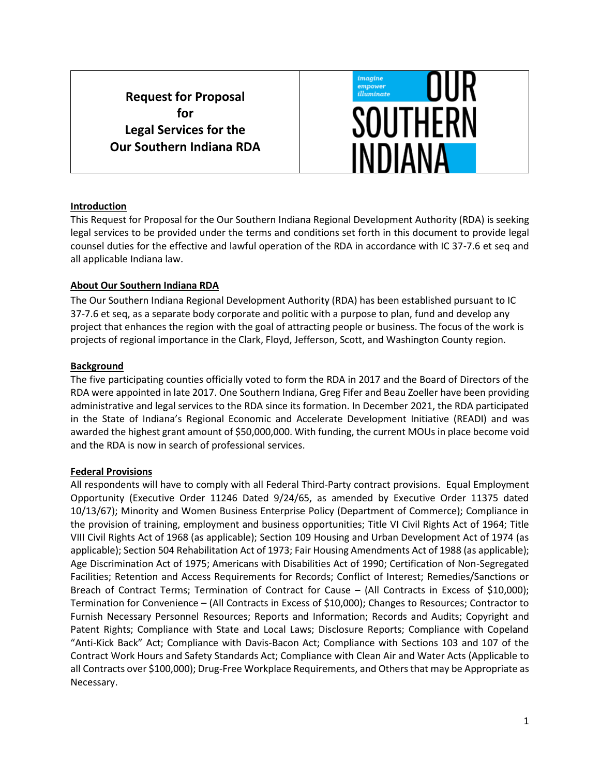**Request for Proposal for Legal Services for the Our Southern Indiana RDA**



### **Introduction**

This Request for Proposal for the Our Southern Indiana Regional Development Authority (RDA) is seeking legal services to be provided under the terms and conditions set forth in this document to provide legal counsel duties for the effective and lawful operation of the RDA in accordance with IC 37-7.6 et seq and all applicable Indiana law.

### **About Our Southern Indiana RDA**

The Our Southern Indiana Regional Development Authority (RDA) has been established pursuant to IC 37-7.6 et seq, as a separate body corporate and politic with a purpose to plan, fund and develop any project that enhances the region with the goal of attracting people or business. The focus of the work is projects of regional importance in the Clark, Floyd, Jefferson, Scott, and Washington County region.

#### **Background**

The five participating counties officially voted to form the RDA in 2017 and the Board of Directors of the RDA were appointed in late 2017. One Southern Indiana, Greg Fifer and Beau Zoeller have been providing administrative and legal services to the RDA since its formation. In December 2021, the RDA participated in the State of Indiana's Regional Economic and Accelerate Development Initiative (READI) and was awarded the highest grant amount of \$50,000,000. With funding, the current MOUs in place become void and the RDA is now in search of professional services.

### **Federal Provisions**

All respondents will have to comply with all Federal Third-Party contract provisions. Equal Employment Opportunity (Executive Order 11246 Dated 9/24/65, as amended by Executive Order 11375 dated 10/13/67); Minority and Women Business Enterprise Policy (Department of Commerce); Compliance in the provision of training, employment and business opportunities; Title VI Civil Rights Act of 1964; Title VIII Civil Rights Act of 1968 (as applicable); Section 109 Housing and Urban Development Act of 1974 (as applicable); Section 504 Rehabilitation Act of 1973; Fair Housing Amendments Act of 1988 (as applicable); Age Discrimination Act of 1975; Americans with Disabilities Act of 1990; Certification of Non-Segregated Facilities; Retention and Access Requirements for Records; Conflict of Interest; Remedies/Sanctions or Breach of Contract Terms; Termination of Contract for Cause – (All Contracts in Excess of \$10,000); Termination for Convenience – (All Contracts in Excess of \$10,000); Changes to Resources; Contractor to Furnish Necessary Personnel Resources; Reports and Information; Records and Audits; Copyright and Patent Rights; Compliance with State and Local Laws; Disclosure Reports; Compliance with Copeland "Anti-Kick Back" Act; Compliance with Davis-Bacon Act; Compliance with Sections 103 and 107 of the Contract Work Hours and Safety Standards Act; Compliance with Clean Air and Water Acts (Applicable to all Contracts over \$100,000); Drug-Free Workplace Requirements, and Others that may be Appropriate as Necessary.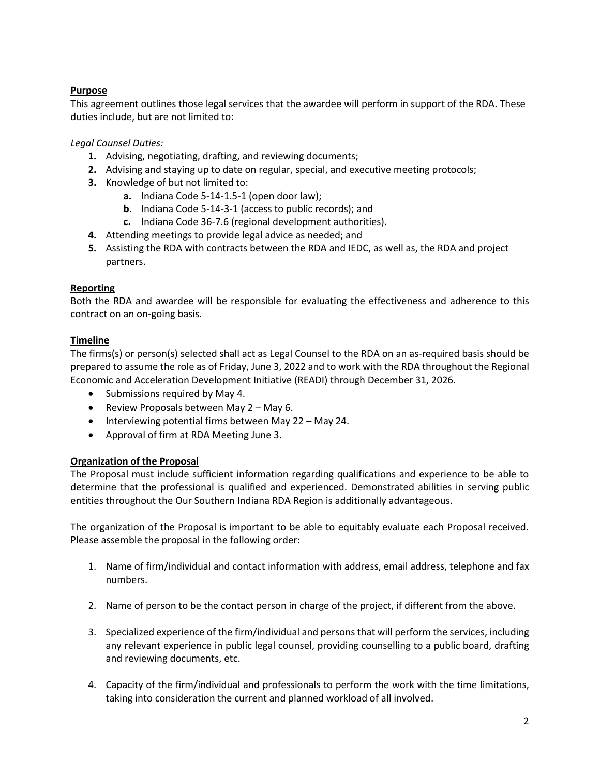# **Purpose**

This agreement outlines those legal services that the awardee will perform in support of the RDA. These duties include, but are not limited to:

# *Legal Counsel Duties:*

- **1.** Advising, negotiating, drafting, and reviewing documents;
- **2.** Advising and staying up to date on regular, special, and executive meeting protocols;
- **3.** Knowledge of but not limited to:
	- **a.** Indiana Code 5-14-1.5-1 (open door law);
	- **b.** Indiana Code 5-14-3-1 (access to public records); and
	- **c.** Indiana Code 36-7.6 (regional development authorities).
- **4.** Attending meetings to provide legal advice as needed; and
- **5.** Assisting the RDA with contracts between the RDA and IEDC, as well as, the RDA and project partners.

## **Reporting**

Both the RDA and awardee will be responsible for evaluating the effectiveness and adherence to this contract on an on-going basis.

## **Timeline**

The firms(s) or person(s) selected shall act as Legal Counsel to the RDA on an as-required basis should be prepared to assume the role as of Friday, June 3, 2022 and to work with the RDA throughout the Regional Economic and Acceleration Development Initiative (READI) through December 31, 2026.

- Submissions required by May 4.
- Review Proposals between May 2 May 6.
- Interviewing potential firms between May 22 May 24.
- Approval of firm at RDA Meeting June 3.

## **Organization of the Proposal**

The Proposal must include sufficient information regarding qualifications and experience to be able to determine that the professional is qualified and experienced. Demonstrated abilities in serving public entities throughout the Our Southern Indiana RDA Region is additionally advantageous.

The organization of the Proposal is important to be able to equitably evaluate each Proposal received. Please assemble the proposal in the following order:

- 1. Name of firm/individual and contact information with address, email address, telephone and fax numbers.
- 2. Name of person to be the contact person in charge of the project, if different from the above.
- 3. Specialized experience of the firm/individual and persons that will perform the services, including any relevant experience in public legal counsel, providing counselling to a public board, drafting and reviewing documents, etc.
- 4. Capacity of the firm/individual and professionals to perform the work with the time limitations, taking into consideration the current and planned workload of all involved.